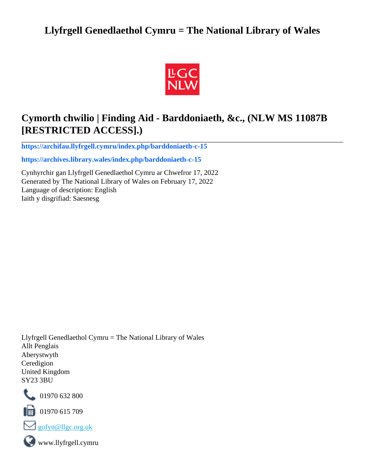## **Llyfrgell Genedlaethol Cymru = The National Library of Wales**



## **Cymorth chwilio | Finding Aid - Barddoniaeth, &c., (NLW MS 11087B [RESTRICTED ACCESS].)**

**[https://archifau.llyfrgell.cymru/index.php/barddoniaeth-c-15](https://archifau.llyfrgell.cymru/index.php/barddoniaeth-c-15;isad?sf_culture=cy)**

**[https://archives.library.wales/index.php/barddoniaeth-c-15](https://archives.library.wales/index.php/barddoniaeth-c-15;isad?sf_culture=en)**

Cynhyrchir gan Llyfrgell Genedlaethol Cymru ar Chwefror 17, 2022 Generated by The National Library of Wales on February 17, 2022 Language of description: English Iaith y disgrifiad: Saesnesg

Llyfrgell Genedlaethol Cymru = The National Library of Wales Allt Penglais Aberystwyth Ceredigion United Kingdom SY23 3BU



101970 632 800

 $\blacksquare$  01970 615 709



www.llyfrgell.cymru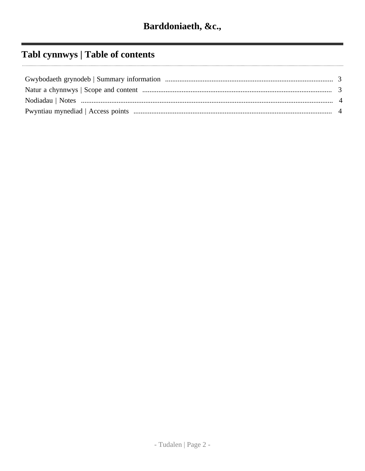# Tabl cynnwys | Table of contents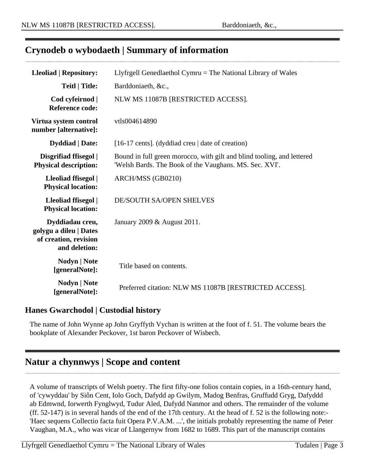### <span id="page-2-0"></span>**Crynodeb o wybodaeth | Summary of information**

| <b>Lleoliad   Repository:</b>                                                       | Llyfrgell Genedlaethol Cymru $=$ The National Library of Wales                                                                   |
|-------------------------------------------------------------------------------------|----------------------------------------------------------------------------------------------------------------------------------|
| <b>Teitl   Title:</b>                                                               | Barddoniaeth, &c.,                                                                                                               |
| Cod cyfeirnod  <br><b>Reference code:</b>                                           | NLW MS 11087B [RESTRICTED ACCESS].                                                                                               |
| Virtua system control<br>number [alternative]:                                      | vtls004614890                                                                                                                    |
| <b>Dyddiad</b>   Date:                                                              | [16-17 cents]. (dyddiad creu   date of creation)                                                                                 |
| Disgrifiad ffisegol  <br><b>Physical description:</b>                               | Bound in full green morocco, with gilt and blind tooling, and lettered<br>'Welsh Bards. The Book of the Vaughans. MS. Sec. XVI'. |
| Lleoliad ffisegol  <br><b>Physical location:</b>                                    | ARCH/MSS (GB0210)                                                                                                                |
| Lleoliad ffisegol  <br><b>Physical location:</b>                                    | <b>DE/SOUTH SA/OPEN SHELVES</b>                                                                                                  |
| Dyddiadau creu,<br>golygu a dileu   Dates<br>of creation, revision<br>and deletion: | January 2009 & August 2011.                                                                                                      |
| <b>Nodyn</b>   <b>Note</b><br>[generalNote]:                                        | Title based on contents.                                                                                                         |
| Nodyn   Note<br>[generalNote]:                                                      | Preferred citation: NLW MS 11087B [RESTRICTED ACCESS].                                                                           |

### **Hanes Gwarchodol | Custodial history**

The name of John Wynne ap John Gryffyth Vychan is written at the foot of f. 51. The volume bears the bookplate of Alexander Peckover, 1st baron Peckover of Wisbech.

### <span id="page-2-1"></span>**Natur a chynnwys | Scope and content**

A volume of transcripts of Welsh poetry. The first fifty-one folios contain copies, in a 16th-century hand, of 'cywyddau' by Siôn Cent, Iolo Goch, Dafydd ap Gwilym, Madog Benfras, Gruffudd Gryg, Dafyddd ab Edmwnd, Iorwerth Fynglwyd, Tudur Aled, Dafydd Nanmor and others. The remainder of the volume (ff. 52-147) is in several hands of the end of the 17th century. At the head of f. 52 is the following note:- 'Haec sequens Collectio facta fuit Opera P.V.A.M. ...', the initials probably representing the name of Peter Vaughan, M.A., who was vicar of Llangernyw from 1682 to 1689. This part of the manuscript contains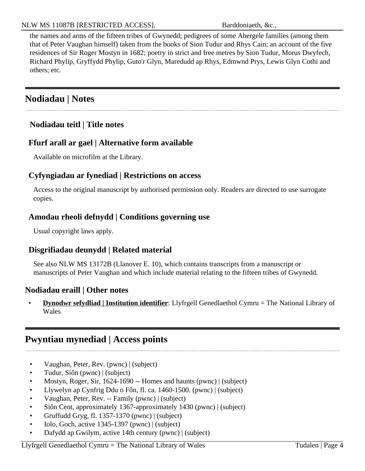the names and arms of the fifteen tribes of Gwynedd; pedigrees of some Abergele families (among them that of Peter Vaughan himself) taken from the books of Sion Tudur and Rhys Cain; an account of the five residences of Sir Roger Mostyn in 1682; poetry in strict and free metres by Sion Tudur, Morus Dwyfech, Richard Phylip, Gryffydd Phylip, Guto'r Glyn, Maredudd ap Rhys, Edmwnd Prys, Lewis Glyn Cothi and others; etc.

## <span id="page-3-0"></span>**Nodiadau | Notes**

#### **Nodiadau teitl | Title notes**

#### **Ffurf arall ar gael | Alternative form available**

Available on microfilm at the Library.

#### **Cyfyngiadau ar fynediad | Restrictions on access**

Access to the original manuscript by authorised permission only. Readers are directed to use surrogate copies.

#### **Amodau rheoli defnydd | Conditions governing use**

Usual copyright laws apply.

### **Disgrifiadau deunydd | Related material**

See also NLW MS 13172B (Llanover E. 10), which contains transcripts from a manuscript or manuscripts of Peter Vaughan and which include material relating to the fifteen tribes of Gwynedd.

#### **Nodiadau eraill | Other notes**

**Dynodwr sefydliad | Institution identifier**: Llyfrgell Genedlaethol Cymru = The National Library of Wales

### <span id="page-3-1"></span>**Pwyntiau mynediad | Access points**

- Vaughan, Peter, Rev. (pwnc) | (subject)
- Tudur, Siôn (pwnc) | (subject)
- Mostyn, Roger, Sir, 1624-1690 -- Homes and haunts (pwnc) | (subject)
- Llywelyn ap Cynfrig Ddu o Fôn, fl. ca. 1460-1500. (pwnc) | (subject)
- Vaughan, Peter, Rev. -- Family (pwnc) | (subject)
- Siôn Cent, approximately 1367-approximately 1430 (pwnc) | (subject)
- Gruffudd Gryg, fl. 1357-1370 (pwnc) | (subject)
- Iolo, Goch, active 1345-1397 (pwnc) | (subject)
- Dafydd ap Gwilym, active 14th century (pwnc) | (subject)